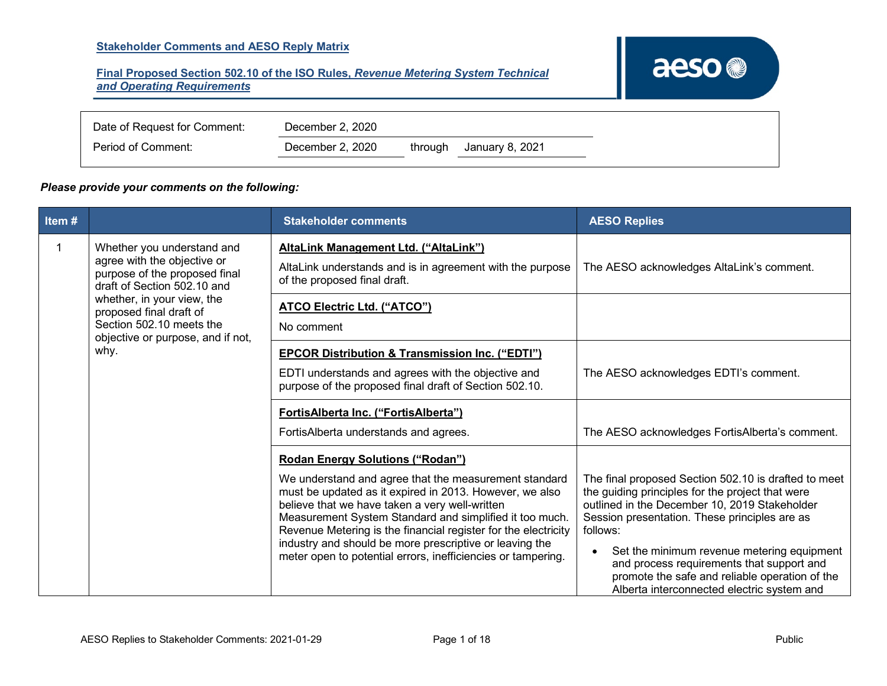## **Stakeholder Comments and AESO Reply Matrix**

### **Final Proposed Section 502.10 of the ISO Rules,** *Revenue Metering System Technical and Operating Requirements*

# aeso<sup>®</sup>

| Date of Request for Comment: | December 2, 2020 |         |                 |
|------------------------------|------------------|---------|-----------------|
| Period of Comment:           | December 2, 2020 | through | January 8, 2021 |

#### *Please provide your comments on the following:*

| Item#                                                                                                                                                                                                                                                       |  | <b>Stakeholder comments</b>                                                                                                                                                                                                                                                                                                                                                                                                                                           | <b>AESO Replies</b>                                                                                                                                                                                                                                                                                                                                                                                               |
|-------------------------------------------------------------------------------------------------------------------------------------------------------------------------------------------------------------------------------------------------------------|--|-----------------------------------------------------------------------------------------------------------------------------------------------------------------------------------------------------------------------------------------------------------------------------------------------------------------------------------------------------------------------------------------------------------------------------------------------------------------------|-------------------------------------------------------------------------------------------------------------------------------------------------------------------------------------------------------------------------------------------------------------------------------------------------------------------------------------------------------------------------------------------------------------------|
| Whether you understand and<br>agree with the objective or<br>purpose of the proposed final<br>draft of Section 502.10 and<br>whether, in your view, the<br>proposed final draft of<br>Section 502.10 meets the<br>objective or purpose, and if not,<br>why. |  | AltaLink Management Ltd. ("AltaLink")<br>AltaLink understands and is in agreement with the purpose<br>of the proposed final draft.                                                                                                                                                                                                                                                                                                                                    | The AESO acknowledges AltaLink's comment.                                                                                                                                                                                                                                                                                                                                                                         |
|                                                                                                                                                                                                                                                             |  | <b>ATCO Electric Ltd. ("ATCO")</b><br>No comment                                                                                                                                                                                                                                                                                                                                                                                                                      |                                                                                                                                                                                                                                                                                                                                                                                                                   |
|                                                                                                                                                                                                                                                             |  | <b>EPCOR Distribution &amp; Transmission Inc. ("EDTI")</b><br>EDTI understands and agrees with the objective and<br>purpose of the proposed final draft of Section 502.10.                                                                                                                                                                                                                                                                                            | The AESO acknowledges EDTI's comment.                                                                                                                                                                                                                                                                                                                                                                             |
|                                                                                                                                                                                                                                                             |  | FortisAlberta Inc. ("FortisAlberta")<br>FortisAlberta understands and agrees.                                                                                                                                                                                                                                                                                                                                                                                         | The AESO acknowledges FortisAlberta's comment.                                                                                                                                                                                                                                                                                                                                                                    |
|                                                                                                                                                                                                                                                             |  | <b>Rodan Energy Solutions ("Rodan")</b><br>We understand and agree that the measurement standard<br>must be updated as it expired in 2013. However, we also<br>believe that we have taken a very well-written<br>Measurement System Standard and simplified it too much.<br>Revenue Metering is the financial register for the electricity<br>industry and should be more prescriptive or leaving the<br>meter open to potential errors, inefficiencies or tampering. | The final proposed Section 502.10 is drafted to meet<br>the guiding principles for the project that were<br>outlined in the December 10, 2019 Stakeholder<br>Session presentation. These principles are as<br>follows:<br>Set the minimum revenue metering equipment<br>and process requirements that support and<br>promote the safe and reliable operation of the<br>Alberta interconnected electric system and |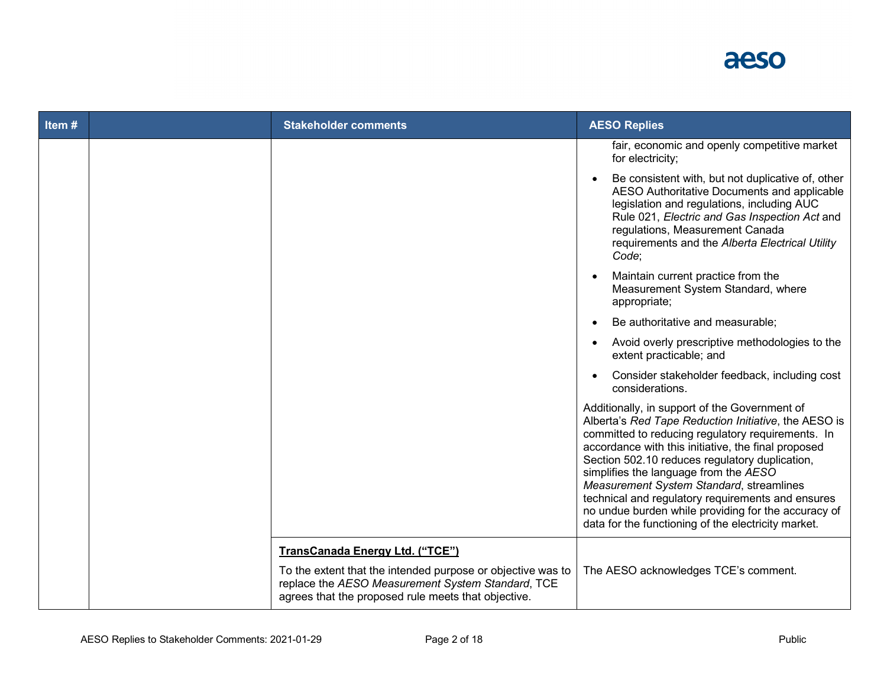

| Item# | <b>Stakeholder comments</b>                                                                                                                                             | <b>AESO Replies</b>                                                                                                                                                                                                                                                                                                                                                                                                                                                                                                         |
|-------|-------------------------------------------------------------------------------------------------------------------------------------------------------------------------|-----------------------------------------------------------------------------------------------------------------------------------------------------------------------------------------------------------------------------------------------------------------------------------------------------------------------------------------------------------------------------------------------------------------------------------------------------------------------------------------------------------------------------|
|       |                                                                                                                                                                         | fair, economic and openly competitive market<br>for electricity;                                                                                                                                                                                                                                                                                                                                                                                                                                                            |
|       |                                                                                                                                                                         | Be consistent with, but not duplicative of, other<br>AESO Authoritative Documents and applicable<br>legislation and regulations, including AUC<br>Rule 021, Electric and Gas Inspection Act and<br>regulations, Measurement Canada<br>requirements and the Alberta Electrical Utility<br>Code;                                                                                                                                                                                                                              |
|       |                                                                                                                                                                         | Maintain current practice from the<br>Measurement System Standard, where<br>appropriate;                                                                                                                                                                                                                                                                                                                                                                                                                                    |
|       |                                                                                                                                                                         | Be authoritative and measurable;                                                                                                                                                                                                                                                                                                                                                                                                                                                                                            |
|       |                                                                                                                                                                         | Avoid overly prescriptive methodologies to the<br>extent practicable; and                                                                                                                                                                                                                                                                                                                                                                                                                                                   |
|       |                                                                                                                                                                         | Consider stakeholder feedback, including cost<br>considerations.                                                                                                                                                                                                                                                                                                                                                                                                                                                            |
|       |                                                                                                                                                                         | Additionally, in support of the Government of<br>Alberta's Red Tape Reduction Initiative, the AESO is<br>committed to reducing regulatory requirements. In<br>accordance with this initiative, the final proposed<br>Section 502.10 reduces regulatory duplication,<br>simplifies the language from the AESO<br>Measurement System Standard, streamlines<br>technical and regulatory requirements and ensures<br>no undue burden while providing for the accuracy of<br>data for the functioning of the electricity market. |
|       | TransCanada Energy Ltd. ("TCE")                                                                                                                                         |                                                                                                                                                                                                                                                                                                                                                                                                                                                                                                                             |
|       | To the extent that the intended purpose or objective was to<br>replace the AESO Measurement System Standard, TCE<br>agrees that the proposed rule meets that objective. | The AESO acknowledges TCE's comment.                                                                                                                                                                                                                                                                                                                                                                                                                                                                                        |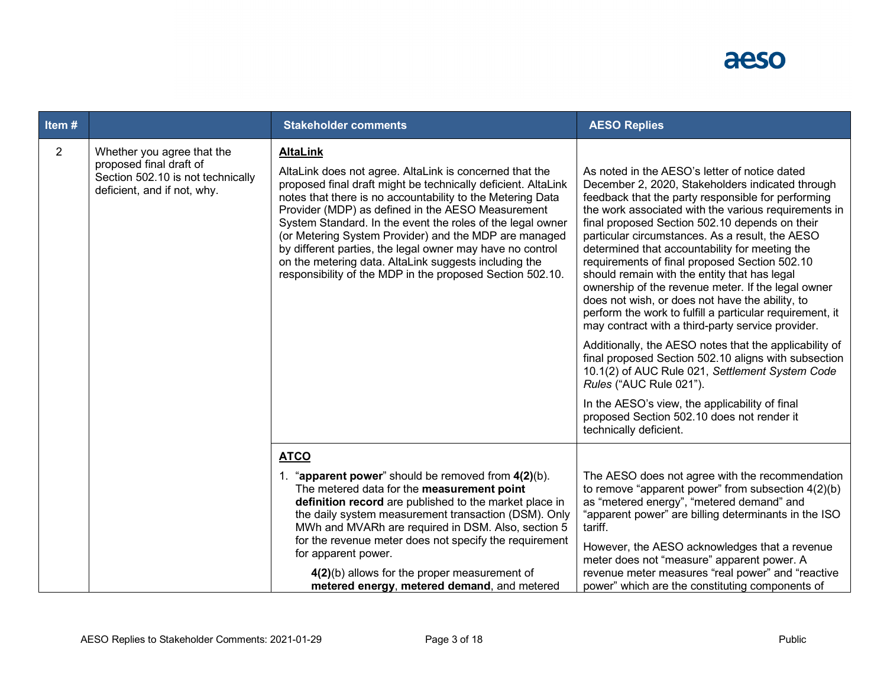

| Item#          |                                                                                                                           | <b>Stakeholder comments</b>                                                                                                                                                                                                                                                                                                                                                                                                                                                                                                                                              | <b>AESO Replies</b>                                                                                                                                                                                                                                                                                                                                                                                                                                                                                                                                                                                                                                                                                                                                                                                                                                                                                                                                                                                                         |
|----------------|---------------------------------------------------------------------------------------------------------------------------|--------------------------------------------------------------------------------------------------------------------------------------------------------------------------------------------------------------------------------------------------------------------------------------------------------------------------------------------------------------------------------------------------------------------------------------------------------------------------------------------------------------------------------------------------------------------------|-----------------------------------------------------------------------------------------------------------------------------------------------------------------------------------------------------------------------------------------------------------------------------------------------------------------------------------------------------------------------------------------------------------------------------------------------------------------------------------------------------------------------------------------------------------------------------------------------------------------------------------------------------------------------------------------------------------------------------------------------------------------------------------------------------------------------------------------------------------------------------------------------------------------------------------------------------------------------------------------------------------------------------|
| $\overline{2}$ | Whether you agree that the<br>proposed final draft of<br>Section 502.10 is not technically<br>deficient, and if not, why. | <b>AltaLink</b><br>AltaLink does not agree. AltaLink is concerned that the<br>proposed final draft might be technically deficient. AltaLink<br>notes that there is no accountability to the Metering Data<br>Provider (MDP) as defined in the AESO Measurement<br>System Standard. In the event the roles of the legal owner<br>(or Metering System Provider) and the MDP are managed<br>by different parties, the legal owner may have no control<br>on the metering data. AltaLink suggests including the<br>responsibility of the MDP in the proposed Section 502.10. | As noted in the AESO's letter of notice dated<br>December 2, 2020, Stakeholders indicated through<br>feedback that the party responsible for performing<br>the work associated with the various requirements in<br>final proposed Section 502.10 depends on their<br>particular circumstances. As a result, the AESO<br>determined that accountability for meeting the<br>requirements of final proposed Section 502.10<br>should remain with the entity that has legal<br>ownership of the revenue meter. If the legal owner<br>does not wish, or does not have the ability, to<br>perform the work to fulfill a particular requirement, it<br>may contract with a third-party service provider.<br>Additionally, the AESO notes that the applicability of<br>final proposed Section 502.10 aligns with subsection<br>10.1(2) of AUC Rule 021, Settlement System Code<br>Rules ("AUC Rule 021").<br>In the AESO's view, the applicability of final<br>proposed Section 502.10 does not render it<br>technically deficient. |
|                |                                                                                                                           | <b>ATCO</b><br>1. "apparent power" should be removed from 4(2)(b).<br>The metered data for the measurement point<br>definition record are published to the market place in<br>the daily system measurement transaction (DSM). Only<br>MWh and MVARh are required in DSM. Also, section 5<br>for the revenue meter does not specify the requirement<br>for apparent power.<br>$4(2)(b)$ allows for the proper measurement of<br>metered energy, metered demand, and metered                                                                                               | The AESO does not agree with the recommendation<br>to remove "apparent power" from subsection $4(2)(b)$<br>as "metered energy", "metered demand" and<br>"apparent power" are billing determinants in the ISO<br>tariff.<br>However, the AESO acknowledges that a revenue<br>meter does not "measure" apparent power. A<br>revenue meter measures "real power" and "reactive<br>power" which are the constituting components of                                                                                                                                                                                                                                                                                                                                                                                                                                                                                                                                                                                              |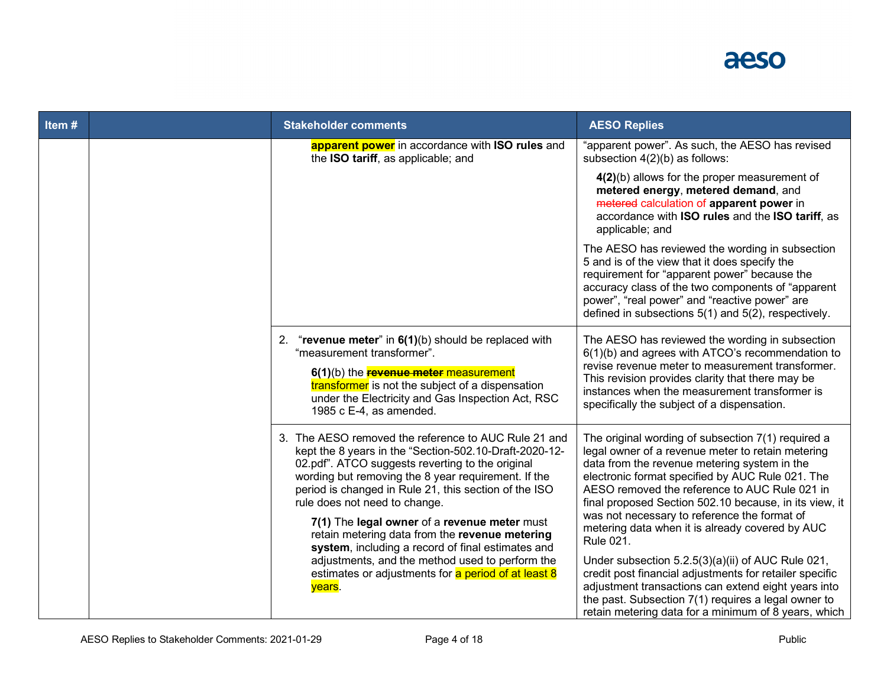

| Item# | <b>Stakeholder comments</b>                                                                                                                                                                                                                                                                                                                                                                                                                                                                                                                                                                    | <b>AESO Replies</b>                                                                                                                                                                                                                                                                                                                                                                                                                                                                                                                                                                                                                                                                                                                 |
|-------|------------------------------------------------------------------------------------------------------------------------------------------------------------------------------------------------------------------------------------------------------------------------------------------------------------------------------------------------------------------------------------------------------------------------------------------------------------------------------------------------------------------------------------------------------------------------------------------------|-------------------------------------------------------------------------------------------------------------------------------------------------------------------------------------------------------------------------------------------------------------------------------------------------------------------------------------------------------------------------------------------------------------------------------------------------------------------------------------------------------------------------------------------------------------------------------------------------------------------------------------------------------------------------------------------------------------------------------------|
|       | apparent power in accordance with ISO rules and<br>the ISO tariff, as applicable; and                                                                                                                                                                                                                                                                                                                                                                                                                                                                                                          | "apparent power". As such, the AESO has revised<br>subsection 4(2)(b) as follows:                                                                                                                                                                                                                                                                                                                                                                                                                                                                                                                                                                                                                                                   |
|       |                                                                                                                                                                                                                                                                                                                                                                                                                                                                                                                                                                                                | 4(2)(b) allows for the proper measurement of<br>metered energy, metered demand, and<br>metered calculation of apparent power in<br>accordance with ISO rules and the ISO tariff, as<br>applicable; and                                                                                                                                                                                                                                                                                                                                                                                                                                                                                                                              |
|       |                                                                                                                                                                                                                                                                                                                                                                                                                                                                                                                                                                                                | The AESO has reviewed the wording in subsection<br>5 and is of the view that it does specify the<br>requirement for "apparent power" because the<br>accuracy class of the two components of "apparent<br>power", "real power" and "reactive power" are<br>defined in subsections 5(1) and 5(2), respectively.                                                                                                                                                                                                                                                                                                                                                                                                                       |
|       | 2. "revenue meter" in $6(1)(b)$ should be replaced with<br>"measurement transformer".<br>6(1)(b) the <b>revenue meter</b> measurement<br>transformer is not the subject of a dispensation<br>under the Electricity and Gas Inspection Act, RSC<br>1985 c E-4, as amended.                                                                                                                                                                                                                                                                                                                      | The AESO has reviewed the wording in subsection<br>6(1)(b) and agrees with ATCO's recommendation to<br>revise revenue meter to measurement transformer.<br>This revision provides clarity that there may be<br>instances when the measurement transformer is<br>specifically the subject of a dispensation.                                                                                                                                                                                                                                                                                                                                                                                                                         |
|       | 3. The AESO removed the reference to AUC Rule 21 and<br>kept the 8 years in the "Section-502.10-Draft-2020-12-<br>02.pdf". ATCO suggests reverting to the original<br>wording but removing the 8 year requirement. If the<br>period is changed in Rule 21, this section of the ISO<br>rule does not need to change.<br>7(1) The legal owner of a revenue meter must<br>retain metering data from the revenue metering<br>system, including a record of final estimates and<br>adjustments, and the method used to perform the<br>estimates or adjustments for a period of at least 8<br>years. | The original wording of subsection 7(1) required a<br>legal owner of a revenue meter to retain metering<br>data from the revenue metering system in the<br>electronic format specified by AUC Rule 021. The<br>AESO removed the reference to AUC Rule 021 in<br>final proposed Section 502.10 because, in its view, it<br>was not necessary to reference the format of<br>metering data when it is already covered by AUC<br><b>Rule 021.</b><br>Under subsection 5.2.5(3)(a)(ii) of AUC Rule 021,<br>credit post financial adjustments for retailer specific<br>adjustment transactions can extend eight years into<br>the past. Subsection 7(1) requires a legal owner to<br>retain metering data for a minimum of 8 years, which |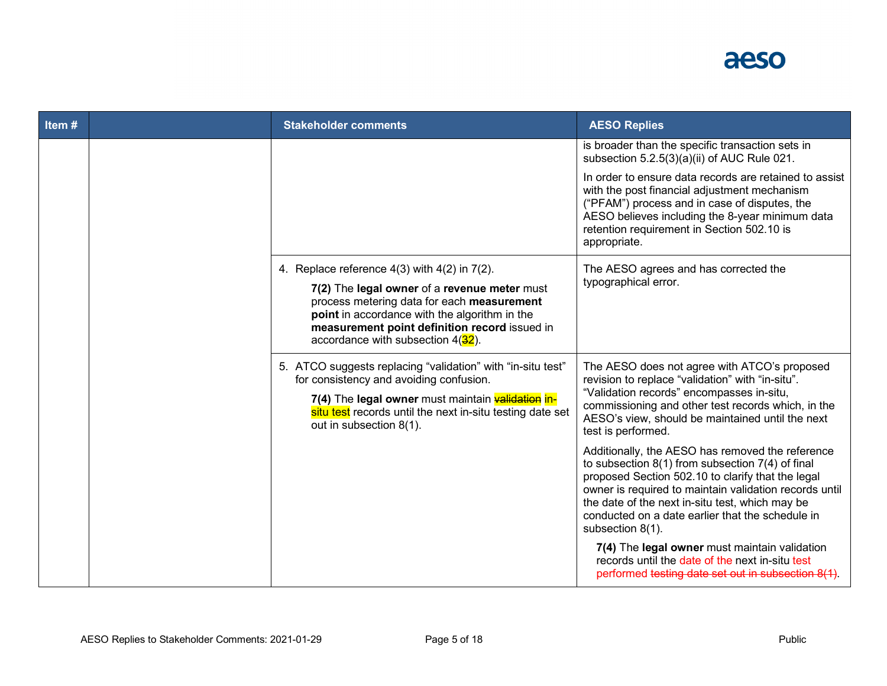## aeso

| Item# | <b>Stakeholder comments</b>                                                                                                                                                                                                                         | <b>AESO Replies</b>                                                                                                                                                                                                                                                                                                                                |
|-------|-----------------------------------------------------------------------------------------------------------------------------------------------------------------------------------------------------------------------------------------------------|----------------------------------------------------------------------------------------------------------------------------------------------------------------------------------------------------------------------------------------------------------------------------------------------------------------------------------------------------|
|       |                                                                                                                                                                                                                                                     | is broader than the specific transaction sets in<br>subsection 5.2.5(3)(a)(ii) of AUC Rule 021.                                                                                                                                                                                                                                                    |
|       |                                                                                                                                                                                                                                                     | In order to ensure data records are retained to assist<br>with the post financial adjustment mechanism<br>("PFAM") process and in case of disputes, the<br>AESO believes including the 8-year minimum data<br>retention requirement in Section 502.10 is<br>appropriate.                                                                           |
|       | 4. Replace reference $4(3)$ with $4(2)$ in $7(2)$ .                                                                                                                                                                                                 | The AESO agrees and has corrected the                                                                                                                                                                                                                                                                                                              |
|       | 7(2) The legal owner of a revenue meter must<br>process metering data for each measurement<br>point in accordance with the algorithm in the<br>measurement point definition record issued in<br>accordance with subsection $4(32)$ .                | typographical error.                                                                                                                                                                                                                                                                                                                               |
|       | 5. ATCO suggests replacing "validation" with "in-situ test"<br>for consistency and avoiding confusion.<br>7(4) The legal owner must maintain validation in-<br>situ test records until the next in-situ testing date set<br>out in subsection 8(1). | The AESO does not agree with ATCO's proposed<br>revision to replace "validation" with "in-situ".<br>"Validation records" encompasses in-situ,<br>commissioning and other test records which, in the<br>AESO's view, should be maintained until the next<br>test is performed.                                                                      |
|       |                                                                                                                                                                                                                                                     | Additionally, the AESO has removed the reference<br>to subsection $8(1)$ from subsection $7(4)$ of final<br>proposed Section 502.10 to clarify that the legal<br>owner is required to maintain validation records until<br>the date of the next in-situ test, which may be<br>conducted on a date earlier that the schedule in<br>subsection 8(1). |
|       |                                                                                                                                                                                                                                                     | 7(4) The legal owner must maintain validation<br>records until the date of the next in-situ test<br>performed testing date set out in subsection 8(1).                                                                                                                                                                                             |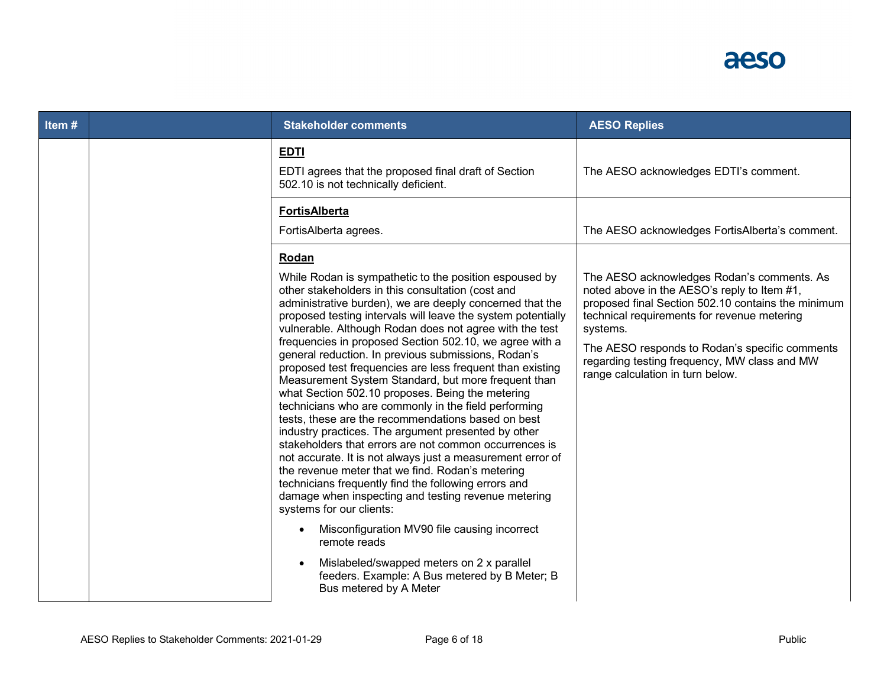

| Item# |  | <b>Stakeholder comments</b>                                                                                                                                                                                                                                                                                                                                                                                                                                                                                                                                                                                                                                                                                                                                                                                                                                                                                                                                                                                                                                                                                                                                                                                                                                                                            | <b>AESO Replies</b>                                                                                                                                                                                                                                                                                                                              |
|-------|--|--------------------------------------------------------------------------------------------------------------------------------------------------------------------------------------------------------------------------------------------------------------------------------------------------------------------------------------------------------------------------------------------------------------------------------------------------------------------------------------------------------------------------------------------------------------------------------------------------------------------------------------------------------------------------------------------------------------------------------------------------------------------------------------------------------------------------------------------------------------------------------------------------------------------------------------------------------------------------------------------------------------------------------------------------------------------------------------------------------------------------------------------------------------------------------------------------------------------------------------------------------------------------------------------------------|--------------------------------------------------------------------------------------------------------------------------------------------------------------------------------------------------------------------------------------------------------------------------------------------------------------------------------------------------|
|       |  | <b>EDTI</b><br>EDTI agrees that the proposed final draft of Section<br>502.10 is not technically deficient.                                                                                                                                                                                                                                                                                                                                                                                                                                                                                                                                                                                                                                                                                                                                                                                                                                                                                                                                                                                                                                                                                                                                                                                            | The AESO acknowledges EDTI's comment.                                                                                                                                                                                                                                                                                                            |
|       |  | <b>FortisAlberta</b><br>FortisAlberta agrees.                                                                                                                                                                                                                                                                                                                                                                                                                                                                                                                                                                                                                                                                                                                                                                                                                                                                                                                                                                                                                                                                                                                                                                                                                                                          | The AESO acknowledges FortisAlberta's comment.                                                                                                                                                                                                                                                                                                   |
|       |  | Rodan<br>While Rodan is sympathetic to the position espoused by<br>other stakeholders in this consultation (cost and<br>administrative burden), we are deeply concerned that the<br>proposed testing intervals will leave the system potentially<br>vulnerable. Although Rodan does not agree with the test<br>frequencies in proposed Section 502.10, we agree with a<br>general reduction. In previous submissions, Rodan's<br>proposed test frequencies are less frequent than existing<br>Measurement System Standard, but more frequent than<br>what Section 502.10 proposes. Being the metering<br>technicians who are commonly in the field performing<br>tests, these are the recommendations based on best<br>industry practices. The argument presented by other<br>stakeholders that errors are not common occurrences is<br>not accurate. It is not always just a measurement error of<br>the revenue meter that we find. Rodan's metering<br>technicians frequently find the following errors and<br>damage when inspecting and testing revenue metering<br>systems for our clients:<br>Misconfiguration MV90 file causing incorrect<br>$\bullet$<br>remote reads<br>Mislabeled/swapped meters on 2 x parallel<br>feeders. Example: A Bus metered by B Meter; B<br>Bus metered by A Meter | The AESO acknowledges Rodan's comments. As<br>noted above in the AESO's reply to Item #1,<br>proposed final Section 502.10 contains the minimum<br>technical requirements for revenue metering<br>systems.<br>The AESO responds to Rodan's specific comments<br>regarding testing frequency, MW class and MW<br>range calculation in turn below. |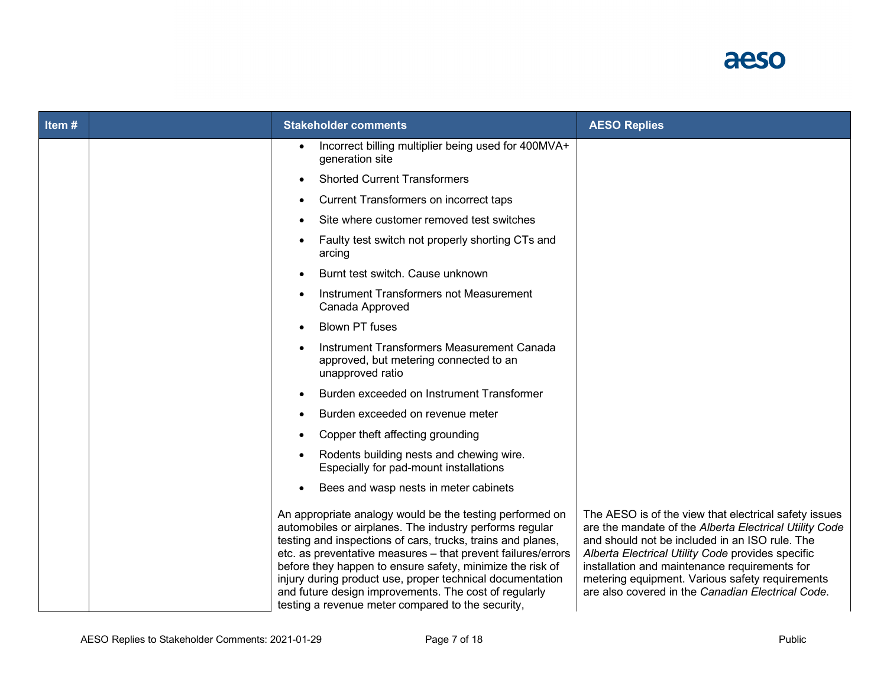

| Item# | <b>Stakeholder comments</b>                                                                                                                                                                                                                                                                                                                                                                                                                                                                | <b>AESO Replies</b>                                                                                                                                                                                                                                                                                                                                                             |
|-------|--------------------------------------------------------------------------------------------------------------------------------------------------------------------------------------------------------------------------------------------------------------------------------------------------------------------------------------------------------------------------------------------------------------------------------------------------------------------------------------------|---------------------------------------------------------------------------------------------------------------------------------------------------------------------------------------------------------------------------------------------------------------------------------------------------------------------------------------------------------------------------------|
|       | Incorrect billing multiplier being used for 400MVA+<br>generation site                                                                                                                                                                                                                                                                                                                                                                                                                     |                                                                                                                                                                                                                                                                                                                                                                                 |
|       | <b>Shorted Current Transformers</b>                                                                                                                                                                                                                                                                                                                                                                                                                                                        |                                                                                                                                                                                                                                                                                                                                                                                 |
|       | Current Transformers on incorrect taps                                                                                                                                                                                                                                                                                                                                                                                                                                                     |                                                                                                                                                                                                                                                                                                                                                                                 |
|       | Site where customer removed test switches                                                                                                                                                                                                                                                                                                                                                                                                                                                  |                                                                                                                                                                                                                                                                                                                                                                                 |
|       | Faulty test switch not properly shorting CTs and<br>arcing                                                                                                                                                                                                                                                                                                                                                                                                                                 |                                                                                                                                                                                                                                                                                                                                                                                 |
|       | Burnt test switch. Cause unknown                                                                                                                                                                                                                                                                                                                                                                                                                                                           |                                                                                                                                                                                                                                                                                                                                                                                 |
|       | Instrument Transformers not Measurement<br>Canada Approved                                                                                                                                                                                                                                                                                                                                                                                                                                 |                                                                                                                                                                                                                                                                                                                                                                                 |
|       | <b>Blown PT fuses</b>                                                                                                                                                                                                                                                                                                                                                                                                                                                                      |                                                                                                                                                                                                                                                                                                                                                                                 |
|       | Instrument Transformers Measurement Canada<br>approved, but metering connected to an<br>unapproved ratio                                                                                                                                                                                                                                                                                                                                                                                   |                                                                                                                                                                                                                                                                                                                                                                                 |
|       | Burden exceeded on Instrument Transformer                                                                                                                                                                                                                                                                                                                                                                                                                                                  |                                                                                                                                                                                                                                                                                                                                                                                 |
|       | Burden exceeded on revenue meter                                                                                                                                                                                                                                                                                                                                                                                                                                                           |                                                                                                                                                                                                                                                                                                                                                                                 |
|       | Copper theft affecting grounding                                                                                                                                                                                                                                                                                                                                                                                                                                                           |                                                                                                                                                                                                                                                                                                                                                                                 |
|       | Rodents building nests and chewing wire.<br>Especially for pad-mount installations                                                                                                                                                                                                                                                                                                                                                                                                         |                                                                                                                                                                                                                                                                                                                                                                                 |
|       | Bees and wasp nests in meter cabinets                                                                                                                                                                                                                                                                                                                                                                                                                                                      |                                                                                                                                                                                                                                                                                                                                                                                 |
|       | An appropriate analogy would be the testing performed on<br>automobiles or airplanes. The industry performs regular<br>testing and inspections of cars, trucks, trains and planes,<br>etc. as preventative measures - that prevent failures/errors<br>before they happen to ensure safety, minimize the risk of<br>injury during product use, proper technical documentation<br>and future design improvements. The cost of regularly<br>testing a revenue meter compared to the security, | The AESO is of the view that electrical safety issues<br>are the mandate of the Alberta Electrical Utility Code<br>and should not be included in an ISO rule. The<br>Alberta Electrical Utility Code provides specific<br>installation and maintenance requirements for<br>metering equipment. Various safety requirements<br>are also covered in the Canadian Electrical Code. |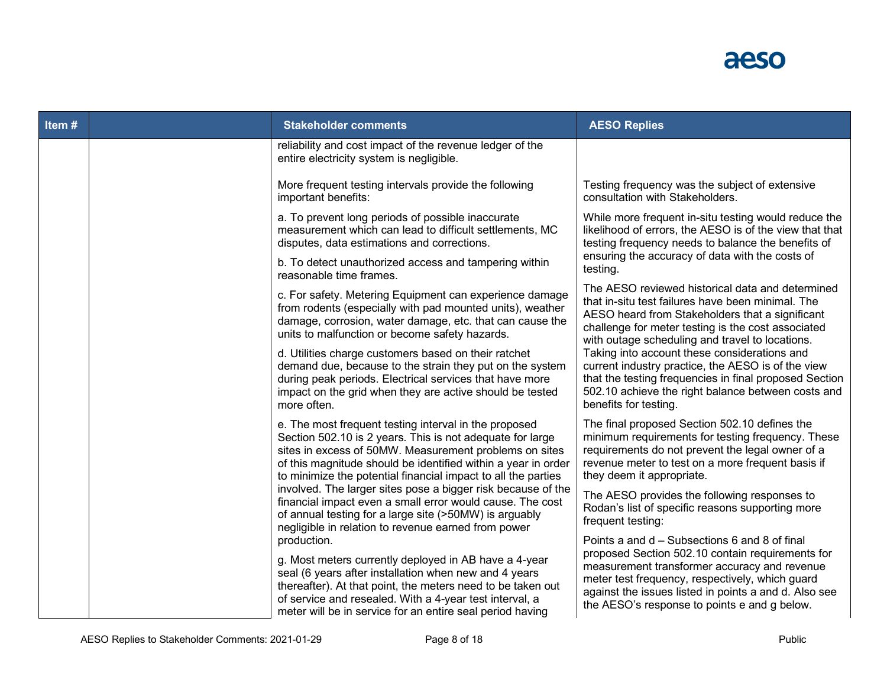

| Item#       |                                                                                                                                                                                                                                                                                                                      | <b>Stakeholder comments</b>                                                                                                                                                                                                                                       | <b>AESO Replies</b>                                                                                                                                                                                                                                                                                           |
|-------------|----------------------------------------------------------------------------------------------------------------------------------------------------------------------------------------------------------------------------------------------------------------------------------------------------------------------|-------------------------------------------------------------------------------------------------------------------------------------------------------------------------------------------------------------------------------------------------------------------|---------------------------------------------------------------------------------------------------------------------------------------------------------------------------------------------------------------------------------------------------------------------------------------------------------------|
|             |                                                                                                                                                                                                                                                                                                                      | reliability and cost impact of the revenue ledger of the<br>entire electricity system is negligible.                                                                                                                                                              |                                                                                                                                                                                                                                                                                                               |
|             |                                                                                                                                                                                                                                                                                                                      | More frequent testing intervals provide the following<br>important benefits:                                                                                                                                                                                      | Testing frequency was the subject of extensive<br>consultation with Stakeholders.                                                                                                                                                                                                                             |
|             |                                                                                                                                                                                                                                                                                                                      | a. To prevent long periods of possible inaccurate<br>measurement which can lead to difficult settlements, MC<br>disputes, data estimations and corrections.                                                                                                       | While more frequent in-situ testing would reduce the<br>likelihood of errors, the AESO is of the view that that<br>testing frequency needs to balance the benefits of                                                                                                                                         |
|             |                                                                                                                                                                                                                                                                                                                      | b. To detect unauthorized access and tampering within<br>reasonable time frames.                                                                                                                                                                                  | ensuring the accuracy of data with the costs of<br>testing.                                                                                                                                                                                                                                                   |
|             | c. For safety. Metering Equipment can experience damage<br>from rodents (especially with pad mounted units), weather<br>damage, corrosion, water damage, etc. that can cause the<br>units to malfunction or become safety hazards.                                                                                   | The AESO reviewed historical data and determined<br>that in-situ test failures have been minimal. The<br>AESO heard from Stakeholders that a significant<br>challenge for meter testing is the cost associated<br>with outage scheduling and travel to locations. |                                                                                                                                                                                                                                                                                                               |
| more often. |                                                                                                                                                                                                                                                                                                                      | d. Utilities charge customers based on their ratchet<br>demand due, because to the strain they put on the system<br>during peak periods. Electrical services that have more<br>impact on the grid when they are active should be tested                           | Taking into account these considerations and<br>current industry practice, the AESO is of the view<br>that the testing frequencies in final proposed Section<br>502.10 achieve the right balance between costs and<br>benefits for testing.                                                                   |
|             | e. The most frequent testing interval in the proposed<br>Section 502.10 is 2 years. This is not adequate for large<br>sites in excess of 50MW. Measurement problems on sites<br>of this magnitude should be identified within a year in order<br>to minimize the potential financial impact to all the parties       | The final proposed Section 502.10 defines the<br>minimum requirements for testing frequency. These<br>requirements do not prevent the legal owner of a<br>revenue meter to test on a more frequent basis if<br>they deem it appropriate.                          |                                                                                                                                                                                                                                                                                                               |
|             |                                                                                                                                                                                                                                                                                                                      | involved. The larger sites pose a bigger risk because of the<br>financial impact even a small error would cause. The cost<br>of annual testing for a large site (>50MW) is arguably<br>negligible in relation to revenue earned from power                        | The AESO provides the following responses to<br>Rodan's list of specific reasons supporting more<br>frequent testing:                                                                                                                                                                                         |
|             | production.<br>g. Most meters currently deployed in AB have a 4-year<br>seal (6 years after installation when new and 4 years<br>thereafter). At that point, the meters need to be taken out<br>of service and resealed. With a 4-year test interval, a<br>meter will be in service for an entire seal period having |                                                                                                                                                                                                                                                                   | Points a and d - Subsections 6 and 8 of final<br>proposed Section 502.10 contain requirements for<br>measurement transformer accuracy and revenue<br>meter test frequency, respectively, which guard<br>against the issues listed in points a and d. Also see<br>the AESO's response to points e and g below. |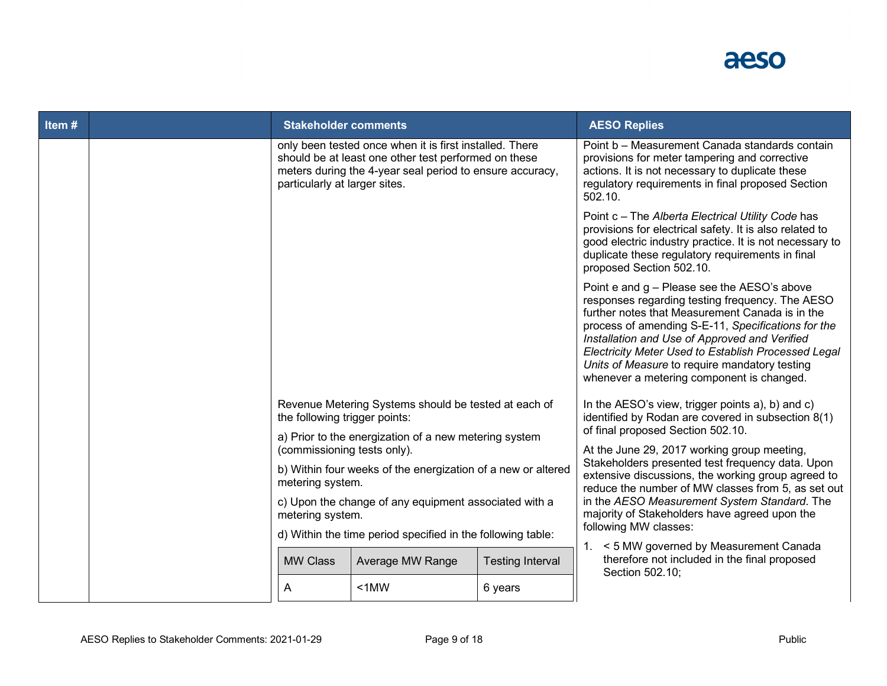

| Item $#$ |                                                                                                                                                                               | <b>Stakeholder comments</b>                                                                                                                                                                                  |                  |                         | <b>AESO Replies</b>                                                                                                                                                                                                                                                                                                                                                                                           |
|----------|-------------------------------------------------------------------------------------------------------------------------------------------------------------------------------|--------------------------------------------------------------------------------------------------------------------------------------------------------------------------------------------------------------|------------------|-------------------------|---------------------------------------------------------------------------------------------------------------------------------------------------------------------------------------------------------------------------------------------------------------------------------------------------------------------------------------------------------------------------------------------------------------|
|          |                                                                                                                                                                               | only been tested once when it is first installed. There<br>should be at least one other test performed on these<br>meters during the 4-year seal period to ensure accuracy,<br>particularly at larger sites. |                  |                         | Point b - Measurement Canada standards contain<br>provisions for meter tampering and corrective<br>actions. It is not necessary to duplicate these<br>regulatory requirements in final proposed Section<br>502.10.                                                                                                                                                                                            |
|          |                                                                                                                                                                               |                                                                                                                                                                                                              |                  |                         | Point c - The Alberta Electrical Utility Code has<br>provisions for electrical safety. It is also related to<br>good electric industry practice. It is not necessary to<br>duplicate these regulatory requirements in final<br>proposed Section 502.10.                                                                                                                                                       |
|          |                                                                                                                                                                               |                                                                                                                                                                                                              |                  |                         | Point e and g - Please see the AESO's above<br>responses regarding testing frequency. The AESO<br>further notes that Measurement Canada is in the<br>process of amending S-E-11, Specifications for the<br>Installation and Use of Approved and Verified<br>Electricity Meter Used to Establish Processed Legal<br>Units of Measure to require mandatory testing<br>whenever a metering component is changed. |
|          | Revenue Metering Systems should be tested at each of<br>the following trigger points:<br>a) Prior to the energization of a new metering system<br>(commissioning tests only). |                                                                                                                                                                                                              |                  |                         | In the AESO's view, trigger points a), b) and c)<br>identified by Rodan are covered in subsection 8(1)<br>of final proposed Section 502.10.                                                                                                                                                                                                                                                                   |
|          |                                                                                                                                                                               |                                                                                                                                                                                                              |                  |                         | At the June 29, 2017 working group meeting,                                                                                                                                                                                                                                                                                                                                                                   |
|          |                                                                                                                                                                               | b) Within four weeks of the energization of a new or altered<br>metering system.                                                                                                                             |                  |                         | Stakeholders presented test frequency data. Upon<br>extensive discussions, the working group agreed to<br>reduce the number of MW classes from 5, as set out                                                                                                                                                                                                                                                  |
|          |                                                                                                                                                                               | in the AESO Measurement System Standard. The<br>majority of Stakeholders have agreed upon the                                                                                                                |                  |                         |                                                                                                                                                                                                                                                                                                                                                                                                               |
|          |                                                                                                                                                                               | metering system.<br>d) Within the time period specified in the following table:                                                                                                                              |                  |                         | following MW classes:                                                                                                                                                                                                                                                                                                                                                                                         |
|          |                                                                                                                                                                               | <b>MW Class</b>                                                                                                                                                                                              | Average MW Range | <b>Testing Interval</b> | 1. < 5 MW governed by Measurement Canada<br>therefore not included in the final proposed<br>Section 502.10;                                                                                                                                                                                                                                                                                                   |
|          |                                                                                                                                                                               | A                                                                                                                                                                                                            | $< 1$ MW         | 6 years                 |                                                                                                                                                                                                                                                                                                                                                                                                               |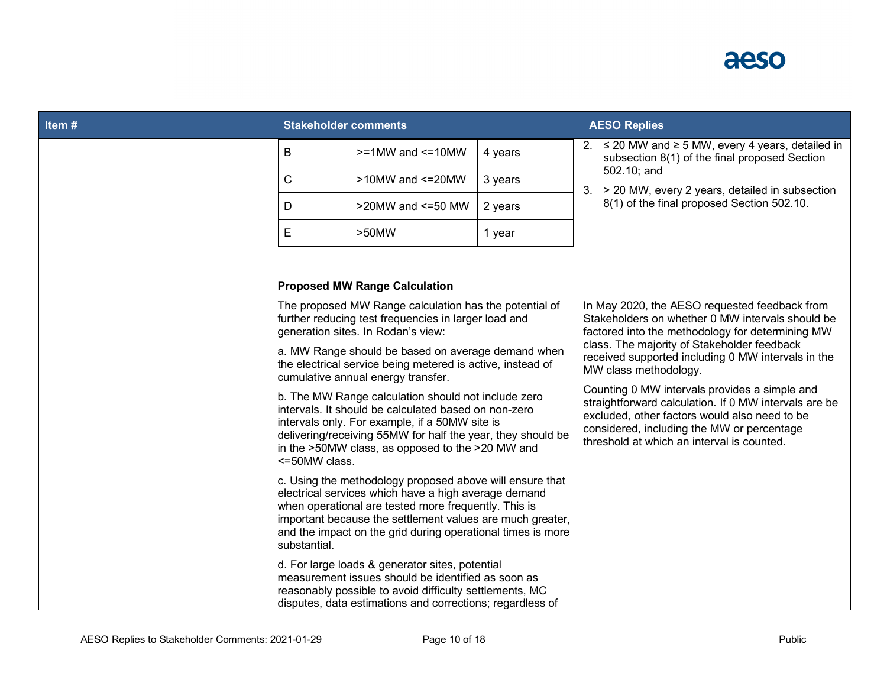

| Item# | <b>Stakeholder comments</b>                                                                                                                                                                                                                                                                                          |                                                                                                                                                                                                                                                                                  |                                                                                                                                                                                                                                                                         | <b>AESO Replies</b>                                                                                                                                                                                                                                                                                                                                                               |  |
|-------|----------------------------------------------------------------------------------------------------------------------------------------------------------------------------------------------------------------------------------------------------------------------------------------------------------------------|----------------------------------------------------------------------------------------------------------------------------------------------------------------------------------------------------------------------------------------------------------------------------------|-------------------------------------------------------------------------------------------------------------------------------------------------------------------------------------------------------------------------------------------------------------------------|-----------------------------------------------------------------------------------------------------------------------------------------------------------------------------------------------------------------------------------------------------------------------------------------------------------------------------------------------------------------------------------|--|
|       | B                                                                                                                                                                                                                                                                                                                    | $>=1$ MW and $<=10$ MW                                                                                                                                                                                                                                                           | 4 years                                                                                                                                                                                                                                                                 | 2. $\leq$ 20 MW and $\geq$ 5 MW, every 4 years, detailed in<br>subsection 8(1) of the final proposed Section                                                                                                                                                                                                                                                                      |  |
|       | $\mathsf{C}$                                                                                                                                                                                                                                                                                                         | $>10$ MW and $\leq$ 20MW                                                                                                                                                                                                                                                         | 3 years                                                                                                                                                                                                                                                                 | 502.10; and<br>> 20 MW, every 2 years, detailed in subsection<br>3.                                                                                                                                                                                                                                                                                                               |  |
|       | D                                                                                                                                                                                                                                                                                                                    | >20MW and <= 50 MW                                                                                                                                                                                                                                                               | 2 years                                                                                                                                                                                                                                                                 | 8(1) of the final proposed Section 502.10.                                                                                                                                                                                                                                                                                                                                        |  |
|       | E                                                                                                                                                                                                                                                                                                                    | $>50$ MW                                                                                                                                                                                                                                                                         | 1 year                                                                                                                                                                                                                                                                  |                                                                                                                                                                                                                                                                                                                                                                                   |  |
|       |                                                                                                                                                                                                                                                                                                                      |                                                                                                                                                                                                                                                                                  |                                                                                                                                                                                                                                                                         |                                                                                                                                                                                                                                                                                                                                                                                   |  |
|       | <b>Proposed MW Range Calculation</b>                                                                                                                                                                                                                                                                                 |                                                                                                                                                                                                                                                                                  |                                                                                                                                                                                                                                                                         |                                                                                                                                                                                                                                                                                                                                                                                   |  |
|       |                                                                                                                                                                                                                                                                                                                      | generation sites. In Rodan's view:                                                                                                                                                                                                                                               | The proposed MW Range calculation has the potential of<br>In May 2020, the AESO requested feedback from<br>Stakeholders on whether 0 MW intervals should be<br>further reducing test frequencies in larger load and<br>factored into the methodology for determining MW |                                                                                                                                                                                                                                                                                                                                                                                   |  |
|       |                                                                                                                                                                                                                                                                                                                      | a. MW Range should be based on average demand when<br>the electrical service being metered is active, instead of<br>cumulative annual energy transfer.                                                                                                                           |                                                                                                                                                                                                                                                                         | class. The majority of Stakeholder feedback<br>received supported including 0 MW intervals in the<br>MW class methodology.<br>Counting 0 MW intervals provides a simple and<br>straightforward calculation. If 0 MW intervals are be<br>excluded, other factors would also need to be<br>considered, including the MW or percentage<br>threshold at which an interval is counted. |  |
|       | <=50MW class.                                                                                                                                                                                                                                                                                                        | b. The MW Range calculation should not include zero<br>intervals. It should be calculated based on non-zero<br>intervals only. For example, if a 50MW site is<br>delivering/receiving 55MW for half the year, they should be<br>in the >50MW class, as opposed to the >20 MW and |                                                                                                                                                                                                                                                                         |                                                                                                                                                                                                                                                                                                                                                                                   |  |
|       | c. Using the methodology proposed above will ensure that<br>electrical services which have a high average demand<br>when operational are tested more frequently. This is<br>important because the settlement values are much greater,<br>and the impact on the grid during operational times is more<br>substantial. |                                                                                                                                                                                                                                                                                  |                                                                                                                                                                                                                                                                         |                                                                                                                                                                                                                                                                                                                                                                                   |  |
|       |                                                                                                                                                                                                                                                                                                                      | d. For large loads & generator sites, potential<br>measurement issues should be identified as soon as<br>reasonably possible to avoid difficulty settlements, MC<br>disputes, data estimations and corrections; regardless of                                                    |                                                                                                                                                                                                                                                                         |                                                                                                                                                                                                                                                                                                                                                                                   |  |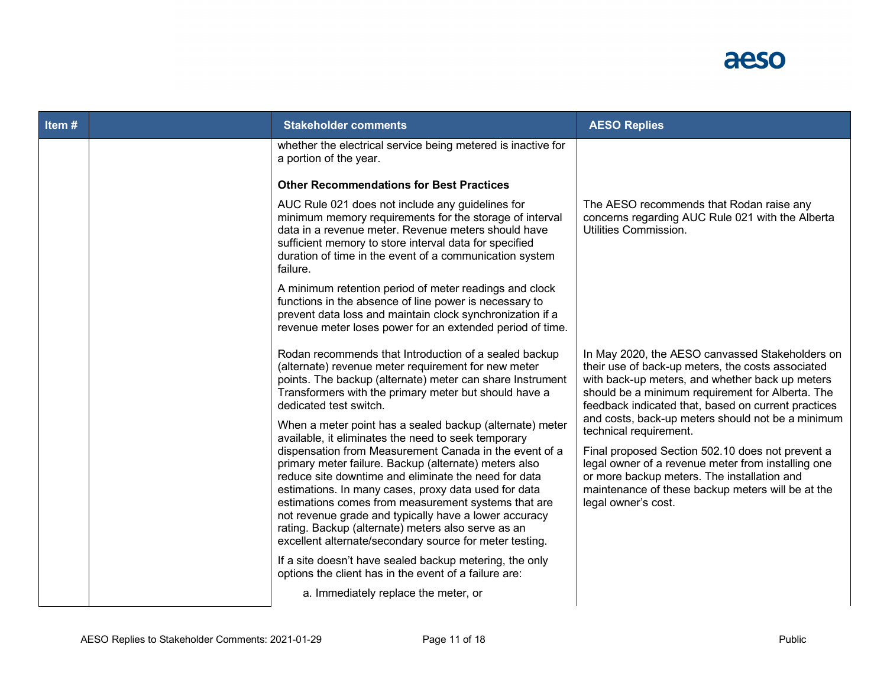

| Item# |                                                                                                                                                                                                                                                              | <b>Stakeholder comments</b>                                                                                                                                                                                                                                                                                                                                                                                                                                                                                                                                                         | <b>AESO Replies</b>                                                                                                                                                                                                                                                                                              |
|-------|--------------------------------------------------------------------------------------------------------------------------------------------------------------------------------------------------------------------------------------------------------------|-------------------------------------------------------------------------------------------------------------------------------------------------------------------------------------------------------------------------------------------------------------------------------------------------------------------------------------------------------------------------------------------------------------------------------------------------------------------------------------------------------------------------------------------------------------------------------------|------------------------------------------------------------------------------------------------------------------------------------------------------------------------------------------------------------------------------------------------------------------------------------------------------------------|
|       |                                                                                                                                                                                                                                                              | whether the electrical service being metered is inactive for<br>a portion of the year.                                                                                                                                                                                                                                                                                                                                                                                                                                                                                              |                                                                                                                                                                                                                                                                                                                  |
|       |                                                                                                                                                                                                                                                              | <b>Other Recommendations for Best Practices</b>                                                                                                                                                                                                                                                                                                                                                                                                                                                                                                                                     |                                                                                                                                                                                                                                                                                                                  |
|       |                                                                                                                                                                                                                                                              | AUC Rule 021 does not include any guidelines for<br>minimum memory requirements for the storage of interval<br>data in a revenue meter. Revenue meters should have<br>sufficient memory to store interval data for specified<br>duration of time in the event of a communication system<br>failure.                                                                                                                                                                                                                                                                                 | The AESO recommends that Rodan raise any<br>concerns regarding AUC Rule 021 with the Alberta<br>Utilities Commission.                                                                                                                                                                                            |
|       |                                                                                                                                                                                                                                                              | A minimum retention period of meter readings and clock<br>functions in the absence of line power is necessary to<br>prevent data loss and maintain clock synchronization if a<br>revenue meter loses power for an extended period of time.                                                                                                                                                                                                                                                                                                                                          |                                                                                                                                                                                                                                                                                                                  |
|       | Rodan recommends that Introduction of a sealed backup<br>(alternate) revenue meter requirement for new meter<br>points. The backup (alternate) meter can share Instrument<br>Transformers with the primary meter but should have a<br>dedicated test switch. |                                                                                                                                                                                                                                                                                                                                                                                                                                                                                                                                                                                     | In May 2020, the AESO canvassed Stakeholders on<br>their use of back-up meters, the costs associated<br>with back-up meters, and whether back up meters<br>should be a minimum requirement for Alberta. The<br>feedback indicated that, based on current practices                                               |
|       |                                                                                                                                                                                                                                                              | When a meter point has a sealed backup (alternate) meter<br>available, it eliminates the need to seek temporary<br>dispensation from Measurement Canada in the event of a<br>primary meter failure. Backup (alternate) meters also<br>reduce site downtime and eliminate the need for data<br>estimations. In many cases, proxy data used for data<br>estimations comes from measurement systems that are<br>not revenue grade and typically have a lower accuracy<br>rating. Backup (alternate) meters also serve as an<br>excellent alternate/secondary source for meter testing. | and costs, back-up meters should not be a minimum<br>technical requirement.<br>Final proposed Section 502.10 does not prevent a<br>legal owner of a revenue meter from installing one<br>or more backup meters. The installation and<br>maintenance of these backup meters will be at the<br>legal owner's cost. |
|       |                                                                                                                                                                                                                                                              | If a site doesn't have sealed backup metering, the only<br>options the client has in the event of a failure are:                                                                                                                                                                                                                                                                                                                                                                                                                                                                    |                                                                                                                                                                                                                                                                                                                  |
|       |                                                                                                                                                                                                                                                              | a. Immediately replace the meter, or                                                                                                                                                                                                                                                                                                                                                                                                                                                                                                                                                |                                                                                                                                                                                                                                                                                                                  |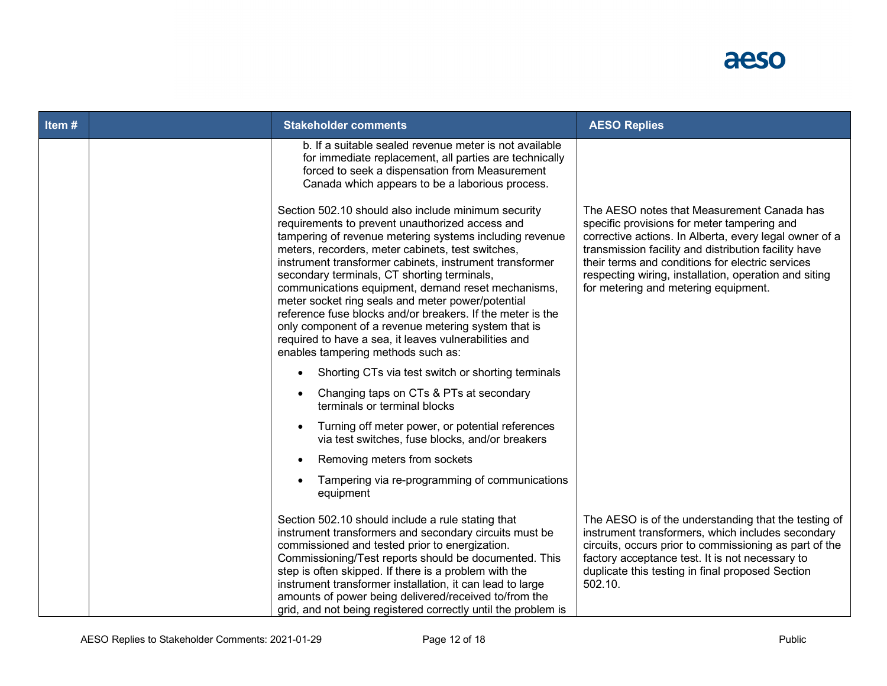

| Item# | <b>Stakeholder comments</b>                                                                                                                                                                                                                                                                                                                                                                                                                                                                                                                                                                                                                                     | <b>AESO Replies</b>                                                                                                                                                                                                                                                                                                                                              |
|-------|-----------------------------------------------------------------------------------------------------------------------------------------------------------------------------------------------------------------------------------------------------------------------------------------------------------------------------------------------------------------------------------------------------------------------------------------------------------------------------------------------------------------------------------------------------------------------------------------------------------------------------------------------------------------|------------------------------------------------------------------------------------------------------------------------------------------------------------------------------------------------------------------------------------------------------------------------------------------------------------------------------------------------------------------|
|       | b. If a suitable sealed revenue meter is not available<br>for immediate replacement, all parties are technically<br>forced to seek a dispensation from Measurement<br>Canada which appears to be a laborious process.                                                                                                                                                                                                                                                                                                                                                                                                                                           |                                                                                                                                                                                                                                                                                                                                                                  |
|       | Section 502.10 should also include minimum security<br>requirements to prevent unauthorized access and<br>tampering of revenue metering systems including revenue<br>meters, recorders, meter cabinets, test switches,<br>instrument transformer cabinets, instrument transformer<br>secondary terminals, CT shorting terminals,<br>communications equipment, demand reset mechanisms,<br>meter socket ring seals and meter power/potential<br>reference fuse blocks and/or breakers. If the meter is the<br>only component of a revenue metering system that is<br>required to have a sea, it leaves vulnerabilities and<br>enables tampering methods such as: | The AESO notes that Measurement Canada has<br>specific provisions for meter tampering and<br>corrective actions. In Alberta, every legal owner of a<br>transmission facility and distribution facility have<br>their terms and conditions for electric services<br>respecting wiring, installation, operation and siting<br>for metering and metering equipment. |
|       | Shorting CTs via test switch or shorting terminals<br>$\bullet$                                                                                                                                                                                                                                                                                                                                                                                                                                                                                                                                                                                                 |                                                                                                                                                                                                                                                                                                                                                                  |
|       | Changing taps on CTs & PTs at secondary<br>terminals or terminal blocks                                                                                                                                                                                                                                                                                                                                                                                                                                                                                                                                                                                         |                                                                                                                                                                                                                                                                                                                                                                  |
|       | Turning off meter power, or potential references<br>via test switches, fuse blocks, and/or breakers                                                                                                                                                                                                                                                                                                                                                                                                                                                                                                                                                             |                                                                                                                                                                                                                                                                                                                                                                  |
|       | Removing meters from sockets                                                                                                                                                                                                                                                                                                                                                                                                                                                                                                                                                                                                                                    |                                                                                                                                                                                                                                                                                                                                                                  |
|       | Tampering via re-programming of communications<br>equipment                                                                                                                                                                                                                                                                                                                                                                                                                                                                                                                                                                                                     |                                                                                                                                                                                                                                                                                                                                                                  |
|       | Section 502.10 should include a rule stating that<br>instrument transformers and secondary circuits must be<br>commissioned and tested prior to energization.<br>Commissioning/Test reports should be documented. This<br>step is often skipped. If there is a problem with the<br>instrument transformer installation, it can lead to large<br>amounts of power being delivered/received to/from the<br>grid, and not being registered correctly until the problem is                                                                                                                                                                                          | The AESO is of the understanding that the testing of<br>instrument transformers, which includes secondary<br>circuits, occurs prior to commissioning as part of the<br>factory acceptance test. It is not necessary to<br>duplicate this testing in final proposed Section<br>502.10.                                                                            |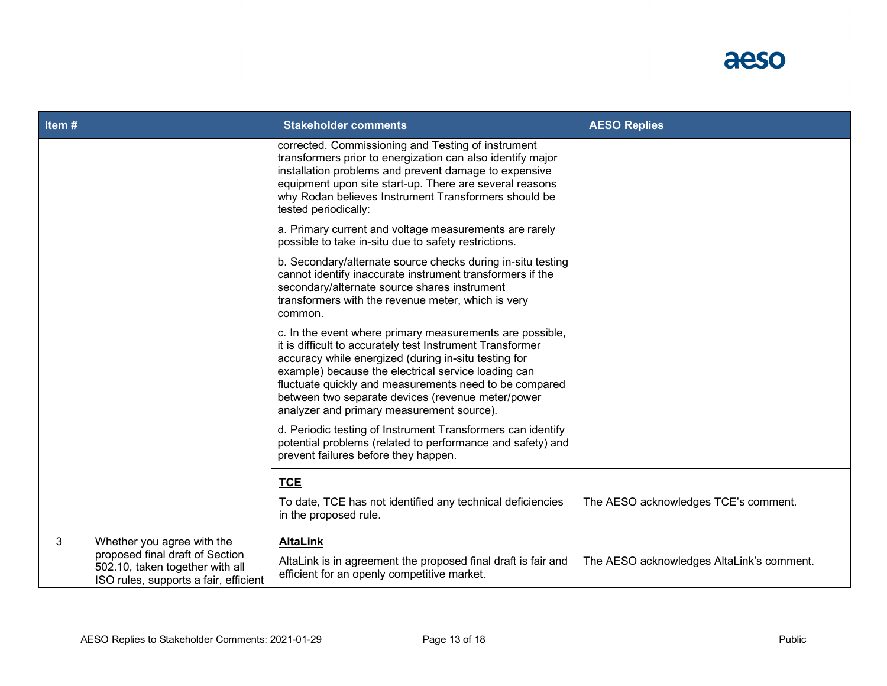

| Item# |                                                                                                                                           | <b>Stakeholder comments</b>                                                                                                                                                                                                                                                                                                                                                                      | <b>AESO Replies</b>                       |
|-------|-------------------------------------------------------------------------------------------------------------------------------------------|--------------------------------------------------------------------------------------------------------------------------------------------------------------------------------------------------------------------------------------------------------------------------------------------------------------------------------------------------------------------------------------------------|-------------------------------------------|
|       |                                                                                                                                           | corrected. Commissioning and Testing of instrument<br>transformers prior to energization can also identify major<br>installation problems and prevent damage to expensive<br>equipment upon site start-up. There are several reasons<br>why Rodan believes Instrument Transformers should be<br>tested periodically:                                                                             |                                           |
|       |                                                                                                                                           | a. Primary current and voltage measurements are rarely<br>possible to take in-situ due to safety restrictions.                                                                                                                                                                                                                                                                                   |                                           |
|       |                                                                                                                                           | b. Secondary/alternate source checks during in-situ testing<br>cannot identify inaccurate instrument transformers if the<br>secondary/alternate source shares instrument<br>transformers with the revenue meter, which is very<br>common.                                                                                                                                                        |                                           |
|       |                                                                                                                                           | c. In the event where primary measurements are possible,<br>it is difficult to accurately test Instrument Transformer<br>accuracy while energized (during in-situ testing for<br>example) because the electrical service loading can<br>fluctuate quickly and measurements need to be compared<br>between two separate devices (revenue meter/power<br>analyzer and primary measurement source). |                                           |
|       |                                                                                                                                           | d. Periodic testing of Instrument Transformers can identify<br>potential problems (related to performance and safety) and<br>prevent failures before they happen.                                                                                                                                                                                                                                |                                           |
|       |                                                                                                                                           | <b>TCE</b>                                                                                                                                                                                                                                                                                                                                                                                       |                                           |
|       |                                                                                                                                           | To date, TCE has not identified any technical deficiencies<br>in the proposed rule.                                                                                                                                                                                                                                                                                                              | The AESO acknowledges TCE's comment.      |
| 3     | Whether you agree with the<br>proposed final draft of Section<br>502.10, taken together with all<br>ISO rules, supports a fair, efficient | <b>AltaLink</b><br>AltaLink is in agreement the proposed final draft is fair and<br>efficient for an openly competitive market.                                                                                                                                                                                                                                                                  | The AESO acknowledges AltaLink's comment. |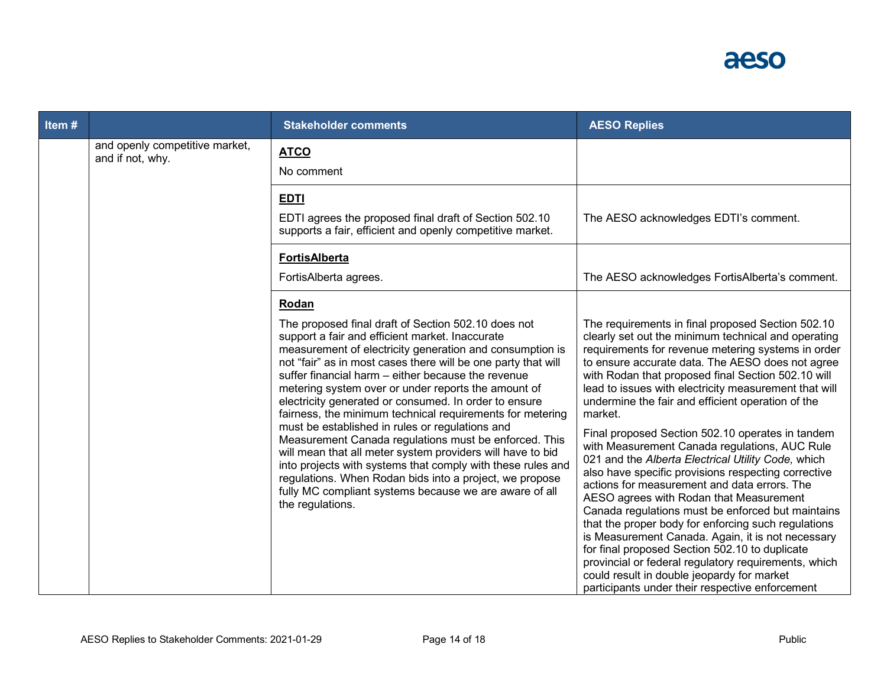

| Item# |                                                    | <b>Stakeholder comments</b>                                                                                                                                                                                                                                                                                                                                                                                                                                                                                                                                                                                                                                                                                                                                                                                                                                       | <b>AESO Replies</b>                                                                                                                                                                                                                                                                                                                                                                                                                                                                                                                                                                                                                                                                                                                                                                                                                                                                                                                                                                                                                                                                        |
|-------|----------------------------------------------------|-------------------------------------------------------------------------------------------------------------------------------------------------------------------------------------------------------------------------------------------------------------------------------------------------------------------------------------------------------------------------------------------------------------------------------------------------------------------------------------------------------------------------------------------------------------------------------------------------------------------------------------------------------------------------------------------------------------------------------------------------------------------------------------------------------------------------------------------------------------------|--------------------------------------------------------------------------------------------------------------------------------------------------------------------------------------------------------------------------------------------------------------------------------------------------------------------------------------------------------------------------------------------------------------------------------------------------------------------------------------------------------------------------------------------------------------------------------------------------------------------------------------------------------------------------------------------------------------------------------------------------------------------------------------------------------------------------------------------------------------------------------------------------------------------------------------------------------------------------------------------------------------------------------------------------------------------------------------------|
|       | and openly competitive market,<br>and if not, why. | <b>ATCO</b><br>No comment                                                                                                                                                                                                                                                                                                                                                                                                                                                                                                                                                                                                                                                                                                                                                                                                                                         |                                                                                                                                                                                                                                                                                                                                                                                                                                                                                                                                                                                                                                                                                                                                                                                                                                                                                                                                                                                                                                                                                            |
|       |                                                    | <b>EDTI</b><br>EDTI agrees the proposed final draft of Section 502.10<br>supports a fair, efficient and openly competitive market.                                                                                                                                                                                                                                                                                                                                                                                                                                                                                                                                                                                                                                                                                                                                | The AESO acknowledges EDTI's comment.                                                                                                                                                                                                                                                                                                                                                                                                                                                                                                                                                                                                                                                                                                                                                                                                                                                                                                                                                                                                                                                      |
|       |                                                    | <b>FortisAlberta</b><br>FortisAlberta agrees.                                                                                                                                                                                                                                                                                                                                                                                                                                                                                                                                                                                                                                                                                                                                                                                                                     | The AESO acknowledges FortisAlberta's comment.                                                                                                                                                                                                                                                                                                                                                                                                                                                                                                                                                                                                                                                                                                                                                                                                                                                                                                                                                                                                                                             |
|       |                                                    | Rodan<br>The proposed final draft of Section 502.10 does not<br>support a fair and efficient market. Inaccurate<br>measurement of electricity generation and consumption is<br>not "fair" as in most cases there will be one party that will<br>suffer financial harm - either because the revenue<br>metering system over or under reports the amount of<br>electricity generated or consumed. In order to ensure<br>fairness, the minimum technical requirements for metering<br>must be established in rules or regulations and<br>Measurement Canada regulations must be enforced. This<br>will mean that all meter system providers will have to bid<br>into projects with systems that comply with these rules and<br>regulations. When Rodan bids into a project, we propose<br>fully MC compliant systems because we are aware of all<br>the regulations. | The requirements in final proposed Section 502.10<br>clearly set out the minimum technical and operating<br>requirements for revenue metering systems in order<br>to ensure accurate data. The AESO does not agree<br>with Rodan that proposed final Section 502.10 will<br>lead to issues with electricity measurement that will<br>undermine the fair and efficient operation of the<br>market.<br>Final proposed Section 502.10 operates in tandem<br>with Measurement Canada regulations, AUC Rule<br>021 and the Alberta Electrical Utility Code, which<br>also have specific provisions respecting corrective<br>actions for measurement and data errors. The<br>AESO agrees with Rodan that Measurement<br>Canada regulations must be enforced but maintains<br>that the proper body for enforcing such regulations<br>is Measurement Canada. Again, it is not necessary<br>for final proposed Section 502.10 to duplicate<br>provincial or federal regulatory requirements, which<br>could result in double jeopardy for market<br>participants under their respective enforcement |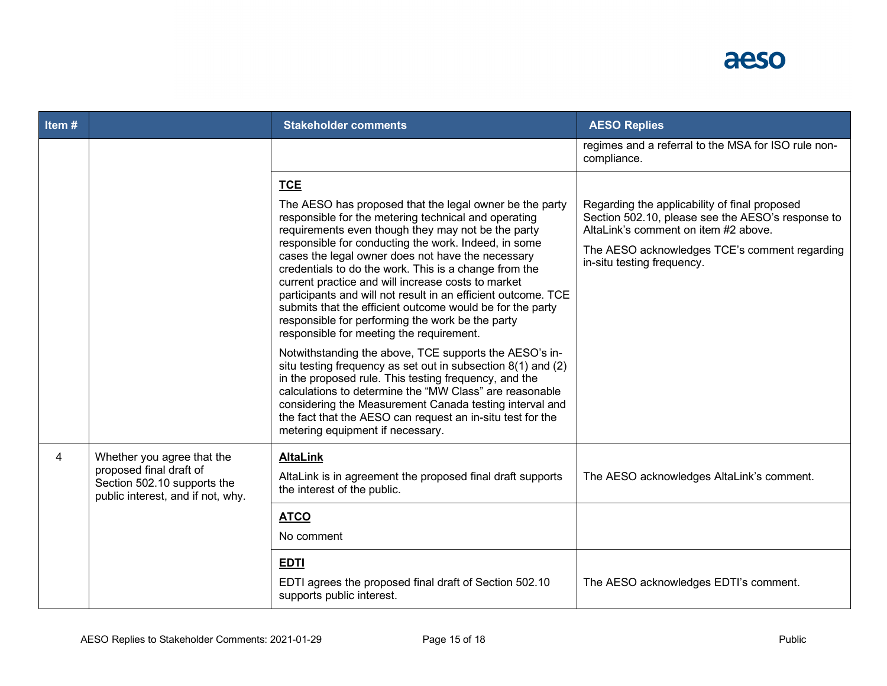

| Item# |                                                                                                                           | <b>Stakeholder comments</b>                                                                                                                                                                                                                                                                                                                                                                                                                                                                                                                                                                                                                                                                                                                                                                                                                                                                                                                                                                                                                                  | <b>AESO Replies</b>                                                                                                                                                                                                       |
|-------|---------------------------------------------------------------------------------------------------------------------------|--------------------------------------------------------------------------------------------------------------------------------------------------------------------------------------------------------------------------------------------------------------------------------------------------------------------------------------------------------------------------------------------------------------------------------------------------------------------------------------------------------------------------------------------------------------------------------------------------------------------------------------------------------------------------------------------------------------------------------------------------------------------------------------------------------------------------------------------------------------------------------------------------------------------------------------------------------------------------------------------------------------------------------------------------------------|---------------------------------------------------------------------------------------------------------------------------------------------------------------------------------------------------------------------------|
|       |                                                                                                                           |                                                                                                                                                                                                                                                                                                                                                                                                                                                                                                                                                                                                                                                                                                                                                                                                                                                                                                                                                                                                                                                              | regimes and a referral to the MSA for ISO rule non-<br>compliance.                                                                                                                                                        |
|       |                                                                                                                           | <b>TCE</b><br>The AESO has proposed that the legal owner be the party<br>responsible for the metering technical and operating<br>requirements even though they may not be the party<br>responsible for conducting the work. Indeed, in some<br>cases the legal owner does not have the necessary<br>credentials to do the work. This is a change from the<br>current practice and will increase costs to market<br>participants and will not result in an efficient outcome. TCE<br>submits that the efficient outcome would be for the party<br>responsible for performing the work be the party<br>responsible for meeting the requirement.<br>Notwithstanding the above, TCE supports the AESO's in-<br>situ testing frequency as set out in subsection $8(1)$ and $(2)$<br>in the proposed rule. This testing frequency, and the<br>calculations to determine the "MW Class" are reasonable<br>considering the Measurement Canada testing interval and<br>the fact that the AESO can request an in-situ test for the<br>metering equipment if necessary. | Regarding the applicability of final proposed<br>Section 502.10, please see the AESO's response to<br>AltaLink's comment on item #2 above.<br>The AESO acknowledges TCE's comment regarding<br>in-situ testing frequency. |
| 4     | Whether you agree that the<br>proposed final draft of<br>Section 502.10 supports the<br>public interest, and if not, why. | <b>AltaLink</b><br>AltaLink is in agreement the proposed final draft supports<br>the interest of the public.                                                                                                                                                                                                                                                                                                                                                                                                                                                                                                                                                                                                                                                                                                                                                                                                                                                                                                                                                 | The AESO acknowledges AltaLink's comment.                                                                                                                                                                                 |
|       |                                                                                                                           | <b>ATCO</b><br>No comment                                                                                                                                                                                                                                                                                                                                                                                                                                                                                                                                                                                                                                                                                                                                                                                                                                                                                                                                                                                                                                    |                                                                                                                                                                                                                           |
|       |                                                                                                                           | <b>EDTI</b><br>EDTI agrees the proposed final draft of Section 502.10<br>supports public interest.                                                                                                                                                                                                                                                                                                                                                                                                                                                                                                                                                                                                                                                                                                                                                                                                                                                                                                                                                           | The AESO acknowledges EDTI's comment.                                                                                                                                                                                     |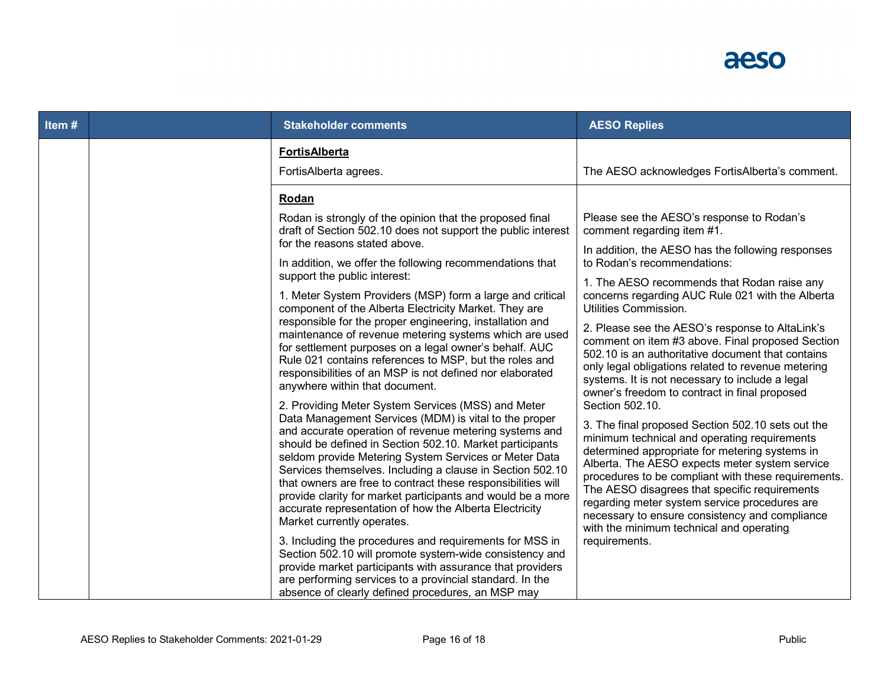# aeso

| Item# | <b>Stakeholder comments</b>                                                                                                                                                                                                                                                                                                                                                                                                                                                                                                                                                    | <b>AESO Replies</b>                                                                                                                                                                                                                                                                                                                                                                                                                                                             |
|-------|--------------------------------------------------------------------------------------------------------------------------------------------------------------------------------------------------------------------------------------------------------------------------------------------------------------------------------------------------------------------------------------------------------------------------------------------------------------------------------------------------------------------------------------------------------------------------------|---------------------------------------------------------------------------------------------------------------------------------------------------------------------------------------------------------------------------------------------------------------------------------------------------------------------------------------------------------------------------------------------------------------------------------------------------------------------------------|
|       | <b>FortisAlberta</b><br>FortisAlberta agrees.                                                                                                                                                                                                                                                                                                                                                                                                                                                                                                                                  | The AESO acknowledges FortisAlberta's comment.                                                                                                                                                                                                                                                                                                                                                                                                                                  |
|       | Rodan                                                                                                                                                                                                                                                                                                                                                                                                                                                                                                                                                                          |                                                                                                                                                                                                                                                                                                                                                                                                                                                                                 |
|       | Rodan is strongly of the opinion that the proposed final<br>draft of Section 502.10 does not support the public interest                                                                                                                                                                                                                                                                                                                                                                                                                                                       | Please see the AESO's response to Rodan's<br>comment regarding item #1.                                                                                                                                                                                                                                                                                                                                                                                                         |
|       | for the reasons stated above.<br>In addition, we offer the following recommendations that                                                                                                                                                                                                                                                                                                                                                                                                                                                                                      | In addition, the AESO has the following responses<br>to Rodan's recommendations:                                                                                                                                                                                                                                                                                                                                                                                                |
|       | support the public interest:<br>1. Meter System Providers (MSP) form a large and critical<br>component of the Alberta Electricity Market. They are                                                                                                                                                                                                                                                                                                                                                                                                                             | 1. The AESO recommends that Rodan raise any<br>concerns regarding AUC Rule 021 with the Alberta<br>Utilities Commission.                                                                                                                                                                                                                                                                                                                                                        |
|       | responsible for the proper engineering, installation and<br>maintenance of revenue metering systems which are used<br>for settlement purposes on a legal owner's behalf. AUC<br>Rule 021 contains references to MSP, but the roles and<br>responsibilities of an MSP is not defined nor elaborated<br>anywhere within that document.                                                                                                                                                                                                                                           | 2. Please see the AESO's response to AltaLink's<br>comment on item #3 above. Final proposed Section<br>502.10 is an authoritative document that contains<br>only legal obligations related to revenue metering<br>systems. It is not necessary to include a legal<br>owner's freedom to contract in final proposed                                                                                                                                                              |
|       | 2. Providing Meter System Services (MSS) and Meter<br>Data Management Services (MDM) is vital to the proper<br>and accurate operation of revenue metering systems and<br>should be defined in Section 502.10. Market participants<br>seldom provide Metering System Services or Meter Data<br>Services themselves. Including a clause in Section 502.10<br>that owners are free to contract these responsibilities will<br>provide clarity for market participants and would be a more<br>accurate representation of how the Alberta Electricity<br>Market currently operates. | Section 502.10.<br>3. The final proposed Section 502.10 sets out the<br>minimum technical and operating requirements<br>determined appropriate for metering systems in<br>Alberta. The AESO expects meter system service<br>procedures to be compliant with these requirements.<br>The AESO disagrees that specific requirements<br>regarding meter system service procedures are<br>necessary to ensure consistency and compliance<br>with the minimum technical and operating |
|       | 3. Including the procedures and requirements for MSS in<br>Section 502.10 will promote system-wide consistency and<br>provide market participants with assurance that providers<br>are performing services to a provincial standard. In the<br>absence of clearly defined procedures, an MSP may                                                                                                                                                                                                                                                                               | requirements.                                                                                                                                                                                                                                                                                                                                                                                                                                                                   |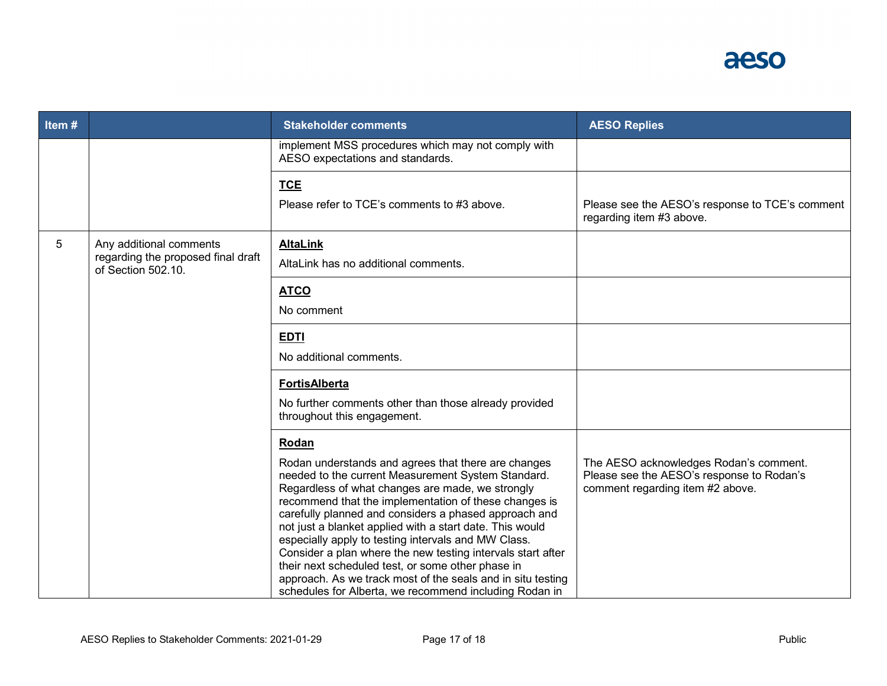

| Item# |                                                                                     | <b>Stakeholder comments</b>                                                                                                                                                                                                                                                                                                                                                                                                                                                                                                                                                                                                                              | <b>AESO Replies</b>                                                                                                     |
|-------|-------------------------------------------------------------------------------------|----------------------------------------------------------------------------------------------------------------------------------------------------------------------------------------------------------------------------------------------------------------------------------------------------------------------------------------------------------------------------------------------------------------------------------------------------------------------------------------------------------------------------------------------------------------------------------------------------------------------------------------------------------|-------------------------------------------------------------------------------------------------------------------------|
|       |                                                                                     | implement MSS procedures which may not comply with<br>AESO expectations and standards.                                                                                                                                                                                                                                                                                                                                                                                                                                                                                                                                                                   |                                                                                                                         |
|       |                                                                                     | <b>TCE</b><br>Please refer to TCE's comments to #3 above.                                                                                                                                                                                                                                                                                                                                                                                                                                                                                                                                                                                                | Please see the AESO's response to TCE's comment<br>regarding item #3 above.                                             |
| 5     | Any additional comments<br>regarding the proposed final draft<br>of Section 502.10. | <b>AltaLink</b><br>AltaLink has no additional comments.                                                                                                                                                                                                                                                                                                                                                                                                                                                                                                                                                                                                  |                                                                                                                         |
|       |                                                                                     | <b>ATCO</b><br>No comment                                                                                                                                                                                                                                                                                                                                                                                                                                                                                                                                                                                                                                |                                                                                                                         |
|       |                                                                                     | <b>EDTI</b><br>No additional comments.                                                                                                                                                                                                                                                                                                                                                                                                                                                                                                                                                                                                                   |                                                                                                                         |
|       |                                                                                     | <b>FortisAlberta</b><br>No further comments other than those already provided<br>throughout this engagement.                                                                                                                                                                                                                                                                                                                                                                                                                                                                                                                                             |                                                                                                                         |
|       |                                                                                     | Rodan<br>Rodan understands and agrees that there are changes<br>needed to the current Measurement System Standard.<br>Regardless of what changes are made, we strongly<br>recommend that the implementation of these changes is<br>carefully planned and considers a phased approach and<br>not just a blanket applied with a start date. This would<br>especially apply to testing intervals and MW Class.<br>Consider a plan where the new testing intervals start after<br>their next scheduled test, or some other phase in<br>approach. As we track most of the seals and in situ testing<br>schedules for Alberta, we recommend including Rodan in | The AESO acknowledges Rodan's comment.<br>Please see the AESO's response to Rodan's<br>comment regarding item #2 above. |